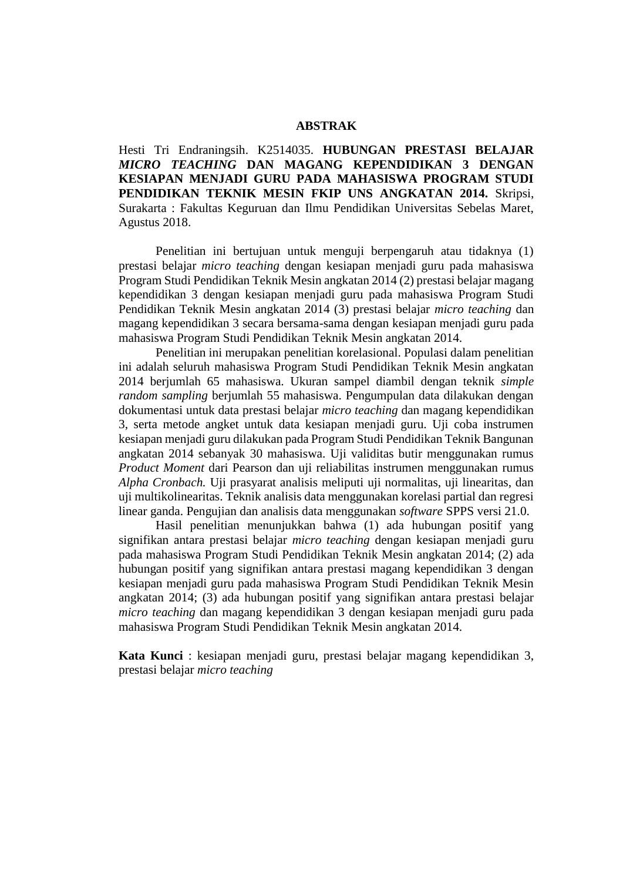## **ABSTRAK**

Hesti Tri Endraningsih. K2514035. **HUBUNGAN PRESTASI BELAJAR**  *MICRO TEACHING* **DAN MAGANG KEPENDIDIKAN 3 DENGAN KESIAPAN MENJADI GURU PADA MAHASISWA PROGRAM STUDI PENDIDIKAN TEKNIK MESIN FKIP UNS ANGKATAN 2014.** Skripsi, Surakarta : Fakultas Keguruan dan Ilmu Pendidikan Universitas Sebelas Maret, Agustus 2018.

Penelitian ini bertujuan untuk menguji berpengaruh atau tidaknya (1) prestasi belajar *micro teaching* dengan kesiapan menjadi guru pada mahasiswa Program Studi Pendidikan Teknik Mesin angkatan 2014 (2) prestasi belajar magang kependidikan 3 dengan kesiapan menjadi guru pada mahasiswa Program Studi Pendidikan Teknik Mesin angkatan 2014 (3) prestasi belajar *micro teaching* dan magang kependidikan 3 secara bersama-sama dengan kesiapan menjadi guru pada mahasiswa Program Studi Pendidikan Teknik Mesin angkatan 2014.

Penelitian ini merupakan penelitian korelasional. Populasi dalam penelitian ini adalah seluruh mahasiswa Program Studi Pendidikan Teknik Mesin angkatan 2014 berjumlah 65 mahasiswa. Ukuran sampel diambil dengan teknik *simple random sampling* berjumlah 55 mahasiswa. Pengumpulan data dilakukan dengan dokumentasi untuk data prestasi belajar *micro teaching* dan magang kependidikan 3, serta metode angket untuk data kesiapan menjadi guru. Uji coba instrumen kesiapan menjadi guru dilakukan pada Program Studi Pendidikan Teknik Bangunan angkatan 2014 sebanyak 30 mahasiswa. Uji validitas butir menggunakan rumus *Product Moment* dari Pearson dan uji reliabilitas instrumen menggunakan rumus *Alpha Cronbach.* Uji prasyarat analisis meliputi uji normalitas, uji linearitas, dan uji multikolinearitas. Teknik analisis data menggunakan korelasi partial dan regresi linear ganda. Pengujian dan analisis data menggunakan *software* SPPS versi 21.0.

Hasil penelitian menunjukkan bahwa (1) ada hubungan positif yang signifikan antara prestasi belajar *micro teaching* dengan kesiapan menjadi guru pada mahasiswa Program Studi Pendidikan Teknik Mesin angkatan 2014; (2) ada hubungan positif yang signifikan antara prestasi magang kependidikan 3 dengan kesiapan menjadi guru pada mahasiswa Program Studi Pendidikan Teknik Mesin angkatan 2014; (3) ada hubungan positif yang signifikan antara prestasi belajar *micro teaching* dan magang kependidikan 3 dengan kesiapan menjadi guru pada mahasiswa Program Studi Pendidikan Teknik Mesin angkatan 2014.

**Kata Kunci** : kesiapan menjadi guru, prestasi belajar magang kependidikan 3, prestasi belajar *micro teaching*